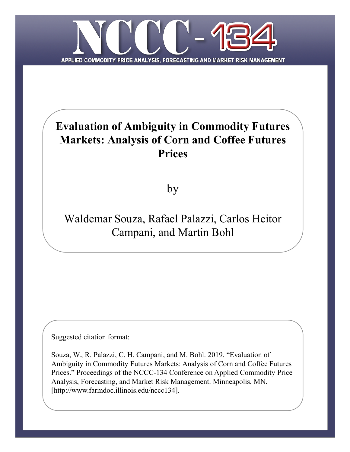

# **Evaluation of Ambiguity in Commodity Futures Markets: Analysis of Corn and Coffee Futures Prices**

by

# Waldemar Souza, Rafael Palazzi, Carlos Heitor Campani, and Martin Bohl

Suggested citation format:

Souza, W., R. Palazzi, C. H. Campani, and M. Bohl. 2019. "Evaluation of Ambiguity in Commodity Futures Markets: Analysis of Corn and Coffee Futures Prices." Proceedings of the NCCC-134 Conference on Applied Commodity Price Analysis, Forecasting, and Market Risk Management. Minneapolis, MN. [http://www.farmdoc.illinois.edu/nccc134].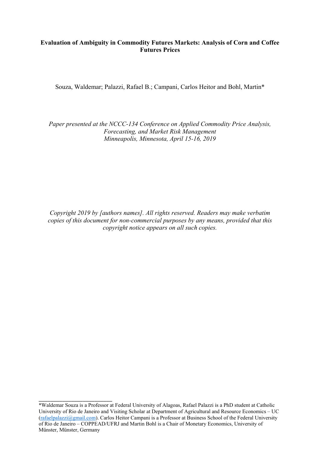# **Evaluation of Ambiguity in Commodity Futures Markets: Analysis of Corn and Coffee Futures Prices**

Souza, Waldemar; Palazzi, Rafael B.; Campani, Carlos Heitor and Bohl, Martin\*

*Paper presented at the NCCC-134 Conference on Applied Commodity Price Analysis, Forecasting, and Market Risk Management Minneapolis, Minnesota, April 15-16, 2019*

*Copyright 2019 by [authors names]. All rights reserved. Readers may make verbatim copies of this document for non-commercial purposes by any means, provided that this copyright notice appears on all such copies.*

\_\_\_\_\_\_\_\_\_\_\_\_\_\_\_\_\_\_\_\_\_\_\_\_\_

<sup>\*</sup>Waldemar Souza is a Professor at Federal University of Alagoas, Rafael Palazzi is a PhD student at Catholic University of Rio de Janeiro and Visiting Scholar at Department of Agricultural and Resource Economics – UC [\(rafaelpalazzi@gmail.com\)](mailto:rafaelpalazzi@gmail.com). Carlos Heitor Campani is a Professor at Business School of the Federal University of Rio de Janeiro – COPPEAD/UFRJ and Martin Bohl is a Chair of Monetary Economics, University of Münster, Münster, Germany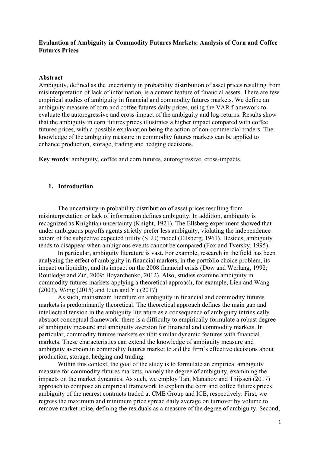# **Evaluation of Ambiguity in Commodity Futures Markets: Analysis of Corn and Coffee Futures Prices**

#### **Abstract**

Ambiguity, defined as the uncertainty in probability distribution of asset prices resulting from misinterpretation of lack of information, is a current feature of financial assets. There are few empirical studies of ambiguity in financial and commodity futures markets. We define an ambiguity measure of corn and coffee futures daily prices, using the VAR framework to evaluate the autoregressive and cross-impact of the ambiguity and log-returns. Results show that the ambiguity in corn futures prices illustrates a higher impact compared with coffee futures prices, with a possible explanation being the action of non-commercial traders. The knowledge of the ambiguity measure in commodity futures markets can be applied to enhance production, storage, trading and hedging decisions.

**Key words**: ambiguity, coffee and corn futures, autoregressive, cross-impacts.

## **1. Introduction**

The uncertainty in probability distribution of asset prices resulting from misinterpretation or lack of information defines ambiguity. In addition, ambiguity is recognized as Knightian uncertainty (Knight, 1921). The Ellsberg experiment showed that under ambiguous payoffs agents strictly prefer less ambiguity, violating the independence axiom of the subjective expected utility (SEU) model (Ellsberg, 1961). Besides, ambiguity tends to disappear when ambiguous events cannot be compared (Fox and Tversky, 1995).

In particular, ambiguity literature is vast. For example, research in the field has been analyzing the effect of ambiguity in financial markets, in the portfolio choice problem, its impact on liquidity, and its impact on the 2008 financial crisis (Dow and Werlang, 1992; Routledge and Zin, 2009; Boyarchenko, 2012). Also, studies examine ambiguity in commodity futures markets applying a theoretical approach, for example, Lien and Wang (2003), Wong (2015) and Lien and Yu (2017).

As such, mainstream literature on ambiguity in financial and commodity futures markets is predominantly theoretical. The theoretical approach defines the main gap and intellectual tension in the ambiguity literature as a consequence of ambiguity intrinsically abstract conceptual framework: there is a difficulty to empirically formulate a robust degree of ambiguity measure and ambiguity aversion for financial and commodity markets. In particular, commodity futures markets exhibit similar dynamic features with financial markets. These characteristics can extend the knowledge of ambiguity measure and ambiguity aversion in commodity futures market to aid the firm´s effective decisions about production, storage, hedging and trading.

Within this context, the goal of the study is to formulate an empirical ambiguity measure for commodity futures markets, namely the degree of ambiguity, examining the impacts on the market dynamics. As such, we employ Tan, Manahov and Thijssen (2017) approach to compose an empirical framework to explain the corn and coffee futures prices ambiguity of the nearest contracts traded at CME Group and ICE, respectively. First, we regress the maximum and minimum price spread daily average on turnover by volume to remove market noise, defining the residuals as a measure of the degree of ambiguity. Second,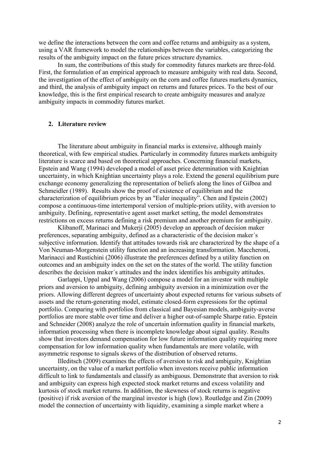we define the interactions between the corn and coffee returns and ambiguity as a system, using a VAR framework to model the relationships between the variables, categorizing the results of the ambiguity impact on the future prices structure dynamics.

In sum, the contributions of this study for commodity futures markets are three-fold. First, the formulation of an empirical approach to measure ambiguity with real data. Second, the investigation of the effect of ambiguity on the corn and coffee futures markets dynamics, and third, the analysis of ambiguity impact on returns and futures prices. To the best of our knowledge, this is the first empirical research to create ambiguity measures and analyze ambiguity impacts in commodity futures market.

### **2. Literature review**

The literature about ambiguity in financial marks is extensive, although mainly theoretical, with few empirical studies. Particularly in commodity futures markets ambiguity literature is scarce and based on theoretical approaches. Concerning financial markets, Epstein and Wang (1994) developed a model of asset price determination with Knightian uncertainty, in which Knightian uncertainty plays a role. Extend the general equilibrium pure exchange economy generalizing the representation of beliefs along the lines of Gilboa and Schmeidler (1989). Results show the proof of existence of equilibrium and the characterization of equilibrium prices by an "Euler inequality". Chen and Epstein (2002) compose a continuous-time intertemporal version of multiple-priors utility, with aversion to ambiguity. Defining, representative agent asset market setting, the model demonstrates restrictions on excess returns defining a risk premium and another premium for ambiguity.

Klibanoff, Marinaci and Mukerji (2005) develop an approach of decision maker preferences, separating ambiguity, defined as a characteristic of the decision maker´s subjective information. Identify that attitudes towards risk are characterized by the shape of a Von Neuman-Morgenstein utility function and an increasing transformation. Maccheroni, Marinacci and Rustichini (2006) illustrate the preferences defined by a utility function on outcomes and an ambiguity index on the set on the states of the world. The utility function describes the decision maker´s attitudes and the index identifies his ambiguity attitudes.

Garlappi, Uppal and Wang (2006) compose a model for an investor with multiple priors and aversion to ambiguity, defining ambiguity aversion in a minimization over the priors. Allowing different degrees of uncertainty about expected returns for various subsets of assets and the return-generating model, estimate closed-form expressions for the optimal portfolio. Comparing with portfolios from classical and Bayesian models, ambiguity-averse portfolios are more stable over time and deliver a higher out-of-sample Sharpe ratio. Epstein and Schneider (2008) analyze the role of uncertain information quality in financial markets, information processing when there is incomplete knowledge about signal quality. Results show that investors demand compensation for low future information quality requiring more compensation for low information quality when fundamentals are more volatile, with asymmetric response to signals skews of the distribution of observed returns.

Illeditsch (2009) examines the effects of aversion to risk and ambiguity, Knightian uncertainty, on the value of a market portfolio when investors receive public information difficult to link to fundamentals and classify as ambiguous. Demonstrate that aversion to risk and ambiguity can express high expected stock market returns and excess volatility and kurtosis of stock market returns. In addition, the skewness of stock returns is negative (positive) if risk aversion of the marginal investor is high (low). Routledge and Zin (2009) model the connection of uncertainty with liquidity, examining a simple market where a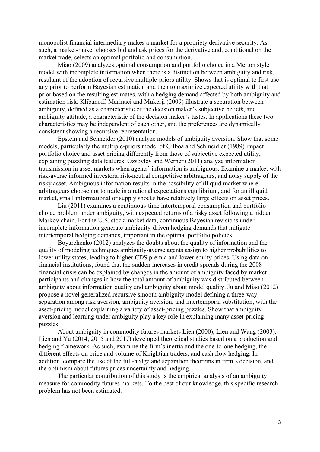monopolist financial intermediary makes a market for a propriety derivative security. As such, a market-maker chooses bid and ask prices for the derivative and, conditional on the market trade, selects an optimal portfolio and consumption.

Miao (2009) analyzes optimal consumption and portfolio choice in a Merton style model with incomplete information when there is a distinction between ambiguity and risk, resultant of the adoption of recursive multiple-priors utility. Shows that is optimal to first use any prior to perform Bayesian estimation and then to maximize expected utility with that prior based on the resulting estimates, with a hedging demand affected by both ambiguity and estimation risk. Klibanoff, Marinaci and Mukerji (2009) illustrate a separation between ambiguity, defined as a characteristic of the decision maker's subjective beliefs, and ambiguity attitude, a characteristic of the decision maker's tastes. In applications these two characteristics may be independent of each other, and the preferences are dynamically consistent showing a recursive representation.

Epstein and Schneider (2010) analyze models of ambiguity aversion. Show that some models, particularly the multiple-priors model of Gilboa and Schmeidler (1989) impact portfolio choice and asset pricing differently from those of subjective expected utility, explaining puzzling data features. Ozsoylev and Werner (2011) analyze information transmission in asset markets when agents' information is ambiguous. Examine a market with risk-averse informed investors, risk-neutral competitive arbitrageurs, and noisy supply of the risky asset. Ambiguous information results in the possibility of illiquid market where arbitrageurs choose not to trade in a rational expectations equilibrium, and for an illiquid market, small informational or supply shocks have relatively large effects on asset prices.

Liu (2011) examines a continuous-time intertemporal consumption and portfolio choice problem under ambiguity, with expected returns of a risky asset following a hidden Markov chain. For the U.S. stock market data, continuous Bayesian revisions under incomplete information generate ambiguity-driven hedging demands that mitigate intertemporal hedging demands, important in the optimal portfolio policies.

Boyarchenko (2012) analyzes the doubts about the quality of information and the quality of modeling techniques ambiguity-averse agents assign to higher probabilities to lower utility states, leading to higher CDS premia and lower equity prices. Using data on financial institutions, found that the sudden increases in credit spreads during the 2008 financial crisis can be explained by changes in the amount of ambiguity faced by market participants and changes in how the total amount of ambiguity was distributed between ambiguity about information quality and ambiguity about model quality. Ju and Miao (2012) propose a novel generalized recursive smooth ambiguity model defining a three-way separation among risk aversion, ambiguity aversion, and intertemporal substitution, with the asset-pricing model explaining a variety of asset-pricing puzzles. Show that ambiguity aversion and learning under ambiguity play a key role in explaining many asset-pricing puzzles.

About ambiguity in commodity futures markets Lien (2000), Lien and Wang (2003), Lien and Yu (2014, 2015 and 2017) developed theoretical studies based on a production and hedging framework. As such, examine the firm´s inertia and the one-to-one hedging, the different effects on price and volume of Knightian traders, and cash flow hedging. In addition, compare the use of the full-hedge and separation theorems in firm´s decision, and the optimism about futures prices uncertainty and hedging.

The particular contribution of this study is the empirical analysis of an ambiguity measure for commodity futures markets. To the best of our knowledge, this specific research problem has not been estimated.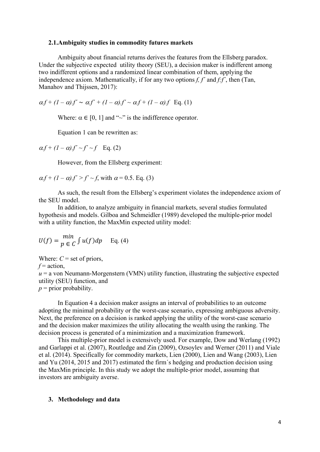#### **2.1.Ambiguity studies in commodity futures markets**

Ambiguity about financial returns derives the features from the Ellsberg paradox. Under the subjective expected utility theory (SEU), a decision maker is indifferent among two indifferent options and a randomized linear combination of them, applying the independence axiom. Mathematically, if for any two options *f, f´* and *f:f´*, then (Tan, Manahov and Thijssen, 2017):

 $\alpha f + (1 - \alpha)f' \sim \alpha f' + (1 - \alpha)f' \sim \alpha f + (1 - \alpha)f$  Eq. (1)

Where:  $\alpha \in [0, 1]$  and "~" is the indifference operator.

Equation 1 can be rewritten as:

 $\alpha.f + (1-\alpha).f' \sim f' \sim f$  Eq. (2)

However, from the Ellsberg experiment:

$$
\alpha f + (1 - \alpha)f' > f' \sim f
$$
, with  $\alpha = 0.5$ . Eq. (3)

As such, the result from the Ellsberg's experiment violates the independence axiom of the SEU model.

In addition, to analyze ambiguity in financial markets, several studies formulated hypothesis and models. Gilboa and Schmeidler (1989) developed the multiple-prior model with a utility function, the MaxMin expected utility model:

$$
U(f) = \frac{\min}{p \in C} \int u(f) dp \quad \text{Eq. (4)}
$$

Where:  $C =$  set of priors,

 $f = action$ ,

 $u = a$  von Neumann-Morgenstern (VMN) utility function, illustrating the subjective expected utility (SEU) function, and

 $p =$  prior probability.

In Equation 4 a decision maker assigns an interval of probabilities to an outcome adopting the minimal probability or the worst-case scenario, expressing ambiguous adversity. Next, the preference on a decision is ranked applying the utility of the worst-case scenario and the decision maker maximizes the utility allocating the wealth using the ranking. The decision process is generated of a minimization and a maximization framework.

This multiple-prior model is extensively used. For example, Dow and Werlang (1992) and Garlappi et al. (2007), Routledge and Zin (2009), Ozsoylev and Werner (2011) and Viale et al. (2014). Specifically for commodity markets, Lien (2000), Lien and Wang (2003), Lien and Yu (2014, 2015 and 2017) estimated the firm´s hedging and production decision using the MaxMin principle. In this study we adopt the multiple-prior model, assuming that investors are ambiguity averse.

### **3. Methodology and data**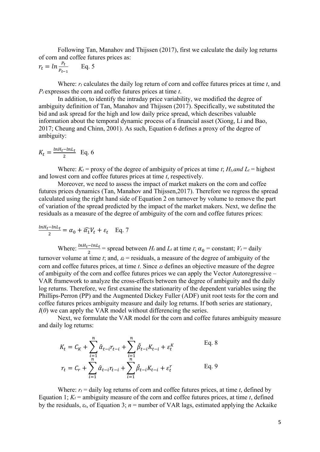Following Tan, Manahov and Thijssen (2017), first we calculate the daily log returns of corn and coffee futures prices as:

$$
r_t = \ln \frac{P_t}{P_{t-1}} \qquad \text{Eq. 5}
$$

Where:  $r_t$  calculates the daily log return of corn and coffee futures prices at time *t*, and *Pt* expresses the corn and coffee futures prices at time *t*.

In addition, to identify the intraday price variability, we modified the degree of ambiguity definition of Tan, Manahov and Thijssen (2017). Specifically, we substituted the bid and ask spread for the high and low daily price spread, which describes valuable information about the temporal dynamic process of a financial asset (Xiong, Li and Bao, 2017; Cheung and Chinn, 2001). As such, Equation 6 defines a proxy of the degree of ambiguity:

$$
K_t = \frac{ln H_t - ln L_t}{2}
$$
 Eq. 6

Where:  $K_t$  = proxy of the degree of ambiguity of prices at time *t*;  $H_t$  and  $L_t$  = highest and lowest corn and coffee futures prices at time *t*, respectively.

Moreover, we need to assess the impact of market makers on the corn and coffee futures prices dynamics (Tan, Manahov and Thijssen,2017). Therefore we regress the spread calculated using the right hand side of Equation 2 on turnover by volume to remove the part of variation of the spread predicted by the impact of the market makers. Next, we define the residuals as a measure of the degree of ambiguity of the corn and coffee futures prices:

$$
\frac{\ln H_t - \ln L_t}{2} = \alpha_0 + \widehat{\alpha_1} V_t + \varepsilon_t \quad \text{Eq. 7}
$$
  
Where: 
$$
\frac{\ln H_t - \ln L_t}{2} = \text{spread between } H_t \text{ and } L_t \text{ at time } t; \alpha_0 = \text{constant; } V_t = \text{daily}
$$

turnover volume at time *t*; and,  $\varepsilon_t$  = residuals, a measure of the degree of ambiguity of the corn and coffee futures prices, at time *t*. Since ε*<sup>t</sup>* defines an objective measure of the degree of ambiguity of the corn and coffee futures prices we can apply the Vector Autoregressive – VAR framework to analyze the cross-effects between the degree of ambiguity and the daily log returns. Therefore, we first examine the stationarity of the dependent variables using the Phillips-Perron (PP) and the Augmented Dickey Fuller (ADF) unit root tests for the corn and coffee futures prices ambiguity measure and daily log returns. If both series are stationary, *I*(*0*) we can apply the VAR model without differencing the series.

Next, we formulate the VAR model for the corn and coffee futures ambiguity measure and daily log returns:

$$
K_{t} = C_{K} + \sum_{i=1}^{n} \hat{\alpha}_{t-i} r_{t-i} + \sum_{i=1}^{n} \hat{\beta}_{t-i} K_{t-i} + \varepsilon_{t}^{K}
$$
 Eq. 8  

$$
r_{t} = C_{r} + \sum_{i=1}^{n} \hat{\alpha}_{t-i} r_{t-i} + \sum_{i=1}^{n} \hat{\beta}_{t-i} K_{t-i} + \varepsilon_{t}^{T}
$$
 Eq. 9

Where:  $r_t$  = daily log returns of corn and coffee futures prices, at time *t*, defined by Equation 1;  $K_t$  = ambiguity measure of the corn and coffee futures prices, at time *t*, defined by the residuals,  $\varepsilon_t$ , of Equation 3;  $n =$  number of VAR lags, estimated applying the Ackaike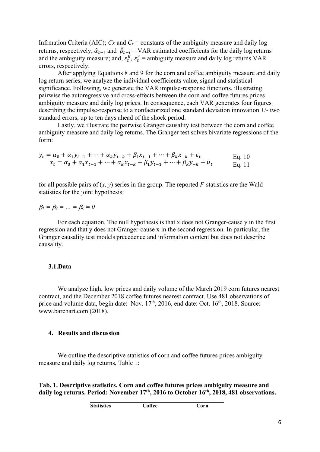Infrmation Criteria (AIC);  $C_K$  and  $C_r$  = constants of the ambiguity measure and daily log returns, respectively;  $\hat{a}_{t-i}$  and  $\hat{\beta}_{t-i} = \text{VAR}$  estimated coefficients for the daily log returns and the ambiguity measure; and,  $\varepsilon_t^K$ ,  $\varepsilon_t^r$  = ambiguity measure and daily log returns VAR errors, respectively.

After applying Equations 8 and 9 for the corn and coffee ambiguity measure and daily log return series, we analyze the individual coefficients value, signal and statistical significance. Following, we generate the VAR impulse-response functions, illustrating pairwise the autoregressive and cross-effects between the corn and coffee futures prices ambiguity measure and daily log prices. In consequence, each VAR generates four figures describing the impulse-response to a nonfactorized one standard deviation innovation +/- two standard errors, up to ten days ahead of the shock period.

Lastly, we illustrate the pairwise Granger causality test between the corn and coffee ambiguity measure and daily log returns. The Granger test solves bivariate regressions of the form:

$$
y_t = \alpha_0 + \alpha_1 y_{t-1} + \dots + \alpha_k y_{t-k} + \beta_1 x_{t-1} + \dots + \beta_k x_{-k} + \epsilon_t
$$
  
\n
$$
x_t = \alpha_0 + \alpha_1 x_{t-1} + \dots + \alpha_k x_{t-k} + \beta_1 y_{t-1} + \dots + \beta_k y_{-k} + u_t
$$
  
\nEq. 10  
\nEq. 11

for all possible pairs of  $(x, y)$  series in the group. The reported *F*-statistics are the Wald statistics for the joint hypothesis:

 $\beta_1 = \beta_2 = ... = \beta_k = 0$ 

For each equation. The null hypothesis is that x does not Granger-cause y in the first regression and that y does not Granger-cause x in the second regression. In particular, the Granger causality test models precedence and information content but does not describe causality.

### **3.1.Data**

We analyze high, low prices and daily volume of the March 2019 corn futures nearest contract, and the December 2018 coffee futures nearest contract. Use 481 observations of price and volume data, begin date: Nov.  $17<sup>th</sup>$ , 2016, end date: Oct.  $16<sup>th</sup>$ , 2018. Source: [www.barchart.com](http://www.barchart.com/) (2018).

#### **4. Results and discussion**

We outline the descriptive statistics of corn and coffee futures prices ambiguity measure and daily log returns, Table 1:

**Tab. 1. Descriptive statistics. Corn and coffee futures prices ambiguity measure and**  daily log returns. Period: November 17<sup>th</sup>, 2016 to October 16<sup>th</sup>, 2018, 481 observations.

| <b>Statistics</b> | Coffee | Corn |
|-------------------|--------|------|
|-------------------|--------|------|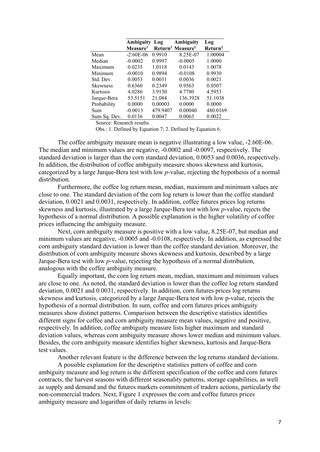|                 | <b>Ambiguity Log</b> |          | Ambiguity                                | Log                 |
|-----------------|----------------------|----------|------------------------------------------|---------------------|
|                 | Measure <sup>1</sup> |          | Return <sup>2</sup> Measure <sup>1</sup> | Return <sup>2</sup> |
| Mean            | $-2.60E-06$          | 0.9910   | 8.25E-07                                 | 1.00004             |
| Median          | $-0.0002$            | 0.9997   | $-0.0005$                                | 1.0000              |
| Maximum         | 0.0235               | 1.0118   | 0.0143                                   | 1.0078              |
| Minimum         | $-0.0010$            | 0.9894   | $-0.0108$                                | 0.9930              |
| Std. Dev.       | 0.0053               | 0.0031   | 0.0036                                   | 0.0021              |
| <b>Skewness</b> | 0.6360               | 0.2349   | 0.9563                                   | 0.0507              |
| Kurtosis        | 4.0286               | 3.9130   | 4.7780                                   | 4.5953              |
| Jarque-Bera     | 53.5151              | 21.084   | 136.3928                                 | 51.1038             |
| Probability     | 0.0000               | 0.00003  | 0.0000                                   | 0.0000              |
| Sum             | $-0.0013$            | 479.9407 | 0.00040                                  | 480.0169            |
| Sum Sa. Dev.    | 0.0136               | 0.0047   | 0.0063                                   | 0.0022              |

Source: Research results.

Obs.: 1. Defined by Equation 7; 2. Defined by Equation 6.

The coffee ambiguity measure mean is negative illustrating a low value, -2.60E-06. The median and minimum values are negative, -0.0002 and -0.0097, respectively. The standard deviation is larger than the corn standard deviation, 0.0053 and 0.0036, respectively. In addition, the distribution of coffee ambiguity measure shows skewness and kurtosis, categorized by a large Jarque-Bera test with low *p*-value, rejecting the hypothesis of a normal distribution.

Furthermore, the coffee log return mean, median, maximum and minimum values are close to one. The standard deviation of the corn log return is lower than the coffee standard deviation, 0.0021 and 0.0031, respectively. In addition, coffee futures prices log returns skewness and kurtosis, illustrated by a large Jarque-Bera test with low *p*-value, rejects the hypothesis of a normal distribution. A possible explanation is the higher volatility of coffee prices influencing the ambiguity measure.

Next, corn ambiguity measure is positive with a low value, 8.25E-07, but median and minimum values are negative, -0.0005 and -0.0108, respectively. In addition, as expressed the corn ambiguity standard deviation is lower than the coffee standard deviation. Moreover, the distribution of corn ambiguity measure shows skewness and kurtosis, described by a large Jarque-Bera test with low *p*-value, rejecting the hypothesis of a normal distribution, analogous with the coffee ambiguity measure.

Equally important, the corn log return mean, median, maximum and minimum values are close to one. As noted, the standard deviation is lower than the coffee log return standard deviation, 0.0021 and 0.0031, respectively. In addition, corn futures prices log returns skewness and kurtosis, categorized by a large Jarque-Bera test with low p-value, rejects the hypothesis of a normal distribution. In sum, coffee and corn futures prices ambiguity measures show distinct patterns. Comparison between the descriptive statistics identifies different signs for coffee and corn ambiguity measure mean values, negative and positive, respectively. In addition, coffee ambiguity measure lists higher maximum and standard deviation values, whereas corn ambiguity measure shows lower median and minimum values. Besides, the corn ambiguity measure identifies higher skewness, kurtosis and Jarque-Bera test values.

Another relevant feature is the difference between the log returns standard deviations.

A possible explanation for the descriptive statistics patters of coffee and corn ambiguity measure and log return is the different specification of the coffee and corn futures contracts, the harvest seasons with different seasonality patterns, storage capabilities, as well as supply and demand and the futures markets commitment of traders actions, particularly the non-commercial traders. Next, Figure 1 expresses the corn and coffee futures prices ambiguity measure and logarithm of daily returns in levels: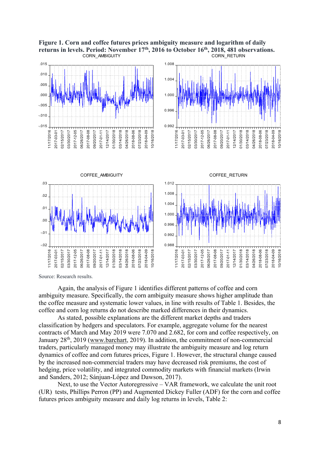



Source: Research results.

Again, the analysis of Figure 1 identifies different patterns of coffee and corn ambiguity measure. Specifically, the corn ambiguity measure shows higher amplitude than the coffee measure and systematic lower values, in line with results of Table 1. Besides, the coffee and corn log returns do not describe marked differences in their dynamics.

As stated, possible explanations are the different market depths and traders classification by hedgers and speculators. For example, aggregate volume for the nearest contracts of March and May 2019 were 7.070 and 2.682, for corn and coffee respectively, on January 28<sup>th</sup>, 2019 [\(www.barchart,](http://www.barchart/) 2019). In addition, the commitment of non-commercial traders, particularly managed money may illustrate the ambiguity measure and log return dynamics of coffee and corn futures prices, Figure 1. However, the structural change caused by the increased non-commercial traders may have decreased risk premiums, the cost of hedging, price volatility, and integrated commodity markets with financial markets (Irwin and Sanders, 2012; Sánjuan-López and Dawson, 2017).

Next, to use the Vector Autoregressive – VAR framework, we calculate the unit root (UR) tests, Phillips Perron (PP) and Augmented Dickey Fuller (ADF) for the corn and coffee futures prices ambiguity measure and daily log returns in levels, Table 2: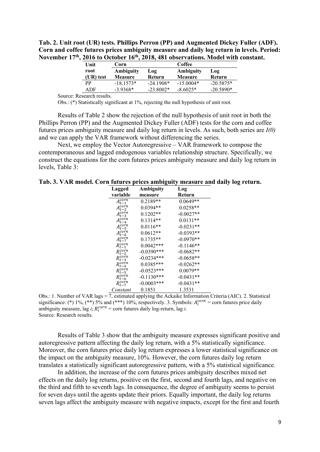**Tab. 2. Unit root (UR) tests. Phillips Perron (PP) and Augmented Dickey Fuller (ADF). Corn and coffee futures prices ambiguity measure and daily log return in levels. Period: November 17th, 2016 to October 16th, 2018, 481 observations. Model with constant.**

| Unit      | Corn           |             | Coffee         |             |  |  |
|-----------|----------------|-------------|----------------|-------------|--|--|
| root      | Ambiguity      | Log         | Ambiguity      | <b>Log</b>  |  |  |
| (UR) test | <b>Measure</b> | Return      | <b>Measure</b> | Return      |  |  |
| РP        | $-18.1573*$    | $-24.1908*$ | $-15.0004*$    | $-20.5875*$ |  |  |
| ADF       | $-3.9368*$     | $-23.8002*$ | $-8.6025*$     | $-20.5890*$ |  |  |

Source: Research results.

Obs.: (\*) Statistically significant at 1%, rejecting the null hypothesis of unit root.

Results of Table 2 show the rejection of the null hypothesis of unit root in both the Phillips Perron (PP) and the Augmented Dickey Fuller (ADF) tests for the corn and coffee futures prices ambiguity measure and daily log return in levels. As such, both series are *I(0)* and we can apply the VAR framework without differencing the series.

Next, we employ the Vector Autoregressive – VAR framework to compose the contemporaneous and lagged endogenous variables relationship structure. Specifically, we construct the equations for the corn futures prices ambiguity measure and daily log return in levels, Table 3:

**Tab. 3. VAR model. Corn futures prices ambiguity measure and daily log return.**

| Lagged           | Ambiguity    | Log         |
|------------------|--------------|-------------|
| variable         | measure      | Return      |
| $A_{t-1}^{corn}$ | 0.2189**     | $0.0649**$  |
| $A_{t-2}^{corn}$ | $0.0394**$   | $0.0258**$  |
| $A_{t-3}^{corn}$ | $0.1202**$   | $-0.0027**$ |
| $A_{t-4}^{corn}$ | $0.1314**$   | $0.0131**$  |
| $A_{t-5}^{corn}$ | $0.0116**$   | $-0.0231**$ |
| $A_{t-6}^{corn}$ | $0.0612**$   | $-0.0393**$ |
| $A_{t-7}^{corn}$ | $0.1735**$   | $-0.0970**$ |
| $R_{t-1}^{corn}$ | $0.0042***$  | $-0.1146**$ |
| $R_{t-2}^{corn}$ | $-0.0390***$ | $-0.0682**$ |
| $R_{t-3}^{corn}$ | $-0.0234***$ | $-0.0658**$ |
| $R_{t-4}^{corn}$ | $0.0385***$  | $-0.0262**$ |
| $R_{t-5}^{corn}$ | $-0.0523***$ | $0.0079**$  |
| $R_{t-6}^{corn}$ | $-0.1130***$ | $-0.0431**$ |
| $R_{t-7}^{corn}$ | $-0.0003***$ | $-0.0431**$ |
| Constant         | 0.1851       | 1.3531      |

Obs.: 1. Number of VAR lags = 7, estimated applying the Ackaike Information Criteria (AIC). 2. Statistical significance: (\*) 1%, (\*\*) 5% and (\*\*\*) 10%, respectively. 3. Symbols:  $A_i^{corn} = \text{corn futures price daily}$ ambiguity measure, lag *i*;  $R_i^{corn} = \text{corn futures daily log-return, lag *i*.$ Source: Research results.

Results of Table 3 show that the ambiguity measure expresses significant positive and autoregressive pattern affecting the daily log return, with a 5% statistically significance. Moreover, the corn futures price daily log return expresses a lower statistical significance on the impact on the ambiguity measure, 10%. However, the corn futures daily log return translates a statistically significant autoregressive pattern, with a 5% statistical significance.

In addition, the increase of the corn futures prices ambiguity describes mixed net effects on the daily log returns, positive on the first, second and fourth lags, and negative on the third and fifth to seventh lags. In consequence, the degree of ambiguity seems to persist for seven days until the agents update their priors. Equally important, the daily log returns seven lags affect the ambiguity measure with negative impacts, except for the first and fourth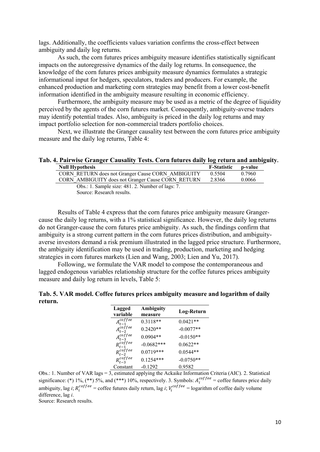lags. Additionally, the coefficients values variation confirms the cross-effect between ambiguity and daily log returns.

As such, the corn futures prices ambiguity measure identifies statistically significant impacts on the autoregressive dynamics of the daily log returns. In consequence, the knowledge of the corn futures prices ambiguity measure dynamics formulates a strategic informational input for hedgers, speculators, traders and producers. For example, the enhanced production and marketing corn strategies may benefit from a lower cost-benefit information identified in the ambiguity measure resulting in economic efficiency.

Furthermore, the ambiguity measure may be used as a metric of the degree of liquidity perceived by the agents of the corn futures market. Consequently, ambiguity-averse traders may identify potential trades. Also, ambiguity is priced in the daily log returns and may impact portfolio selection for non-commercial traders portfolio choices.

Next, we illustrate the Granger causality test between the corn futures price ambiguity measure and the daily log returns, Table 4:

**Tab. 4. Pairwise Granger Causality Tests. Corn futures daily log return and ambiguity.**

| <b>Null Hypothesis</b>                                            | <b>F-Statistic</b> | p-value |
|-------------------------------------------------------------------|--------------------|---------|
| CORN RETURN does not Granger Cause CORN AMBIGUITY                 | 0.5504             | 0.7960  |
| CORN AMBIGUITY does not Granger Cause CORN RETURN                 | 2.8366             | 0.0066  |
| Obs.: 1. Sample size: 481. 2. Number of lags: 7.                  |                    |         |
| $S_{\alpha\mu\alpha\alpha}$ , $D_{\alpha\alpha\alpha}$ by regults |                    |         |

Source: Research results.

Results of Table 4 express that the corn futures price ambiguity measure Grangercause the daily log returns, with a 1% statistical significance. However, the daily log returns do not Granger-cause the corn futures price ambiguity. As such, the findings confirm that ambiguity is a strong current pattern in the corn futures prices distribution, and ambiguityaverse investors demand a risk premium illustrated in the lagged price structure. Furthermore, the ambiguity identification may be used in trading, production, marketing and hedging strategies in corn futures markets (Lien and Wang, 2003; Lien and Yu, 2017).

Following, we formulate the VAR model to compose the contemporaneous and lagged endogenous variables relationship structure for the coffee futures prices ambiguity measure and daily log return in levels, Table 5:

|         | Tab. 5. VAR model. Coffee futures prices ambiguity measure and logarithm of daily |
|---------|-----------------------------------------------------------------------------------|
| return. |                                                                                   |

| Lagged             | Ambiguity    | Log-Return  |
|--------------------|--------------|-------------|
| variable           | measure      |             |
| $A_{t-1}^{cofree}$ | $0.3118**$   | $0.0421**$  |
| $A_{t-2}^{cofree}$ | $0.2420**$   | $-0.0077**$ |
| $A_{t-3}^{cofree}$ | $0.0904**$   | $-0.0150**$ |
| $R_{t-1}^{cofree}$ | $-0.0682***$ | $0.0622**$  |
| $R_{t-2}^{cofree}$ | $0.0719***$  | $0.0544**$  |
| $R_{t-3}^{cofree}$ | $0.1254***$  | $-0.0750**$ |
| Constant           | $-0.1292$    | 0.9582      |

Obs.: 1. Number of VAR lags =  $3$ , estimated applying the Ackaike Information Criteria (AIC). 2. Statistical significance: (\*) 1%, (\*\*) 5%, and (\*\*\*) 10%, respectively. 3. Symbols:  $A_i^{coffee}$  = coffee futures price daily ambiguity, lag *i*;  $R_i^{coffee}$  = coffee futures daily return, lag *i*;  $V_i^{coffee}$  = logarithm of coffee daily volume difference, lag *i*.

Source: Research results.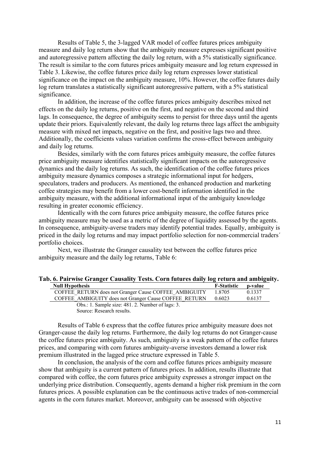Results of Table 5, the 3-lagged VAR model of coffee futures prices ambiguity measure and daily log return show that the ambiguity measure expresses significant positive and autoregressive pattern affecting the daily log return, with a 5% statistically significance. The result is similar to the corn futures prices ambiguity measure and log return expressed in Table 3. Likewise, the coffee futures price daily log return expresses lower statistical significance on the impact on the ambiguity measure, 10%. However, the coffee futures daily log return translates a statistically significant autoregressive pattern, with a 5% statistical significance.

In addition, the increase of the coffee futures prices ambiguity describes mixed net effects on the daily log returns, positive on the first, and negative on the second and third lags. In consequence, the degree of ambiguity seems to persist for three days until the agents update their priors. Equivalently relevant, the daily log returns three lags affect the ambiguity measure with mixed net impacts, negative on the first, and positive lags two and three. Additionally, the coefficients values variation confirms the cross-effect between ambiguity and daily log returns.

Besides, similarly with the corn futures prices ambiguity measure, the coffee futures price ambiguity measure identifies statistically significant impacts on the autoregressive dynamics and the daily log returns. As such, the identification of the coffee futures prices ambiguity measure dynamics composes a strategic informational input for hedgers, speculators, traders and producers. As mentioned, the enhanced production and marketing coffee strategies may benefit from a lower cost-benefit information identified in the ambiguity measure, with the additional informational input of the ambiguity knowledge resulting in greater economic efficiency.

Identically with the corn futures price ambiguity measure, the coffee futures price ambiguity measure may be used as a metric of the degree of liquidity assessed by the agents. In consequence, ambiguity-averse traders may identify potential trades. Equally, ambiguity is priced in the daily log returns and may impact portfolio selection for non-commercial traders´ portfolio choices.

Next, we illustrate the Granger causality test between the coffee futures price ambiguity measure and the daily log returns, Table 6:

| Tab. 6. Pairwise Granger Causality Tests. Corn futures daily log return and ambiguity. |  |  |  |                           |  |  |
|----------------------------------------------------------------------------------------|--|--|--|---------------------------|--|--|
| $\mathbf{M}$ of $\mathbf{H}$ is the set of $\mathbf{M}$                                |  |  |  | $\mathbf{E}$ $\mathbf{C}$ |  |  |

| <b>Null Hypothesis</b>                                | <b>F-Statistic</b> | p-value |
|-------------------------------------------------------|--------------------|---------|
| COFFEE RETURN does not Granger Cause COFFEE AMBIGUITY | 1.8705             | 0.1337  |
| COFFEE AMBIGUITY does not Granger Cause COFFEE RETURN | 0.6023             | 0.6137  |
| Obs.: 1. Sample size: 481. 2. Number of lags: 3.      |                    |         |

Source: Research results.

Results of Table 6 express that the coffee futures price ambiguity measure does not Granger-cause the daily log returns. Furthermore, the daily log returns do not Granger-cause the coffee futures price ambiguity. As such, ambiguity is a weak pattern of the coffee futures prices, and comparing with corn futures ambiguity-averse investors demand a lower risk premium illustrated in the lagged price structure expressed in Table 5.

In conclusion, the analysis of the corn and coffee futures prices ambiguity measure show that ambiguity is a current pattern of futures prices. In addition, results illustrate that compared with coffee, the corn futures price ambiguity expresses a stronger impact on the underlying price distribution. Consequently, agents demand a higher risk premium in the corn futures prices. A possible explanation can be the continuous active trades of non-commercial agents in the corn futures market. Moreover, ambiguity can be assessed with objective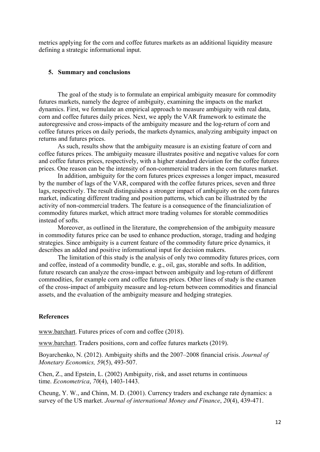metrics applying for the corn and coffee futures markets as an additional liquidity measure defining a strategic informational input.

#### **5. Summary and conclusions**

The goal of the study is to formulate an empirical ambiguity measure for commodity futures markets, namely the degree of ambiguity, examining the impacts on the market dynamics. First, we formulate an empirical approach to measure ambiguity with real data, corn and coffee futures daily prices. Next, we apply the VAR framework to estimate the autoregressive and cross-impacts of the ambiguity measure and the log-return of corn and coffee futures prices on daily periods, the markets dynamics, analyzing ambiguity impact on returns and futures prices.

As such, results show that the ambiguity measure is an existing feature of corn and coffee futures prices. The ambiguity measure illustrates positive and negative values for corn and coffee futures prices, respectively, with a higher standard deviation for the coffee futures prices. One reason can be the intensity of non-commercial traders in the corn futures market.

In addition, ambiguity for the corn futures prices expresses a longer impact, measured by the number of lags of the VAR, compared with the coffee futures prices, seven and three lags, respectively. The result distinguishes a stronger impact of ambiguity on the corn futures market, indicating different trading and position patterns, which can be illustrated by the activity of non-commercial traders. The feature is a consequence of the financialization of commodity futures market, which attract more trading volumes for storable commodities instead of softs.

Moreover, as outlined in the literature, the comprehension of the ambiguity measure in commodity futures price can be used to enhance production, storage, trading and hedging strategies. Since ambiguity is a current feature of the commodity future price dynamics, it describes an added and positive informational input for decision makers.

The limitation of this study is the analysis of only two commodity futures prices, corn and coffee, instead of a commodity bundle, e. g., oil, gas, storable and softs. In addition, future research can analyze the cross-impact between ambiguity and log-return of different commodities, for example corn and coffee futures prices. Other lines of study is the examen of the cross-impact of ambiguity measure and log-return between commodities and financial assets, and the evaluation of the ambiguity measure and hedging strategies.

### **References**

[www.barchart.](http://www.barchart/) Futures prices of corn and coffee (2018).

[www.barchart.](http://www.barchart/) Traders positions, corn and coffee futures markets (2019).

Boyarchenko, N. (2012). Ambiguity shifts and the 2007–2008 financial crisis. *Journal of Monetary Economics, 59*(5), 493-507.

Chen, Z., and Epstein, L. (2002) Ambiguity, risk, and asset returns in continuous time. *Econometrica*, *70*(4), 1403-1443.

Cheung, Y. W., and Chinn, M. D. (2001). Currency traders and exchange rate dynamics: a survey of the US market. *Journal of international Money and Finance*, *20*(4), 439-471.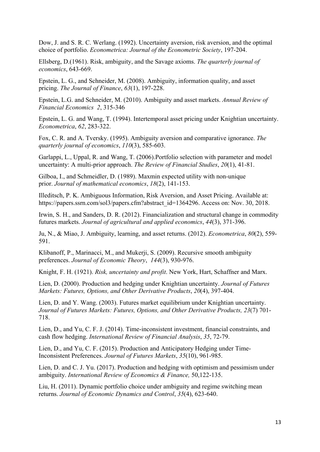Dow, J. and S. R. C. Werlang. (1992). Uncertainty aversion, risk aversion, and the optimal choice of portfolio. *Econometrica: Journal of the Econometric Society*, 197-204.

Ellsberg, D.(1961). Risk, ambiguity, and the Savage axioms. *The quarterly journal of economics*, 643-669.

Epstein, L. G., and Schneider, M. (2008). Ambiguity, information quality, and asset pricing. *The Journal of Finance*, *63*(1), 197-228.

Epstein, L.G. and Schneider, M. (2010). Ambiguity and asset markets. *Annual Review of Financial Economics 2*, 315-346

Epstein, L. G. and Wang, T. (1994). Intertemporal asset pricing under Knightian uncertainty. *Econometrica*, *62*, 283-322.

Fox, C. R. and A. Tversky. (1995). Ambiguity aversion and comparative ignorance. *The quarterly journal of economics*, *110*(3), 585-603.

Garlappi, L., Uppal, R. and Wang, T. (2006).Portfolio selection with parameter and model uncertainty: A multi-prior approach. *The Review of Financial Studies*, *20*(1), 41-81.

Gilboa, I., and Schmeidler, D. (1989). Maxmin expected utility with non-unique prior. *Journal of mathematical economics*, *18*(2), 141-153.

Illeditsch, P. K. Ambiguous Information, Risk Aversion, and Asset Pricing. Available at: [https://papers.ssrn.com/sol3/papers.cfm?abstract\\_id=1364296.](https://papers.ssrn.com/sol3/papers.cfm?abstract_id=1364296) Access on: Nov. 30, 2018.

Irwin, S. H., and Sanders, D. R. (2012). Financialization and structural change in commodity futures markets. *Journal of agricultural and applied economics*, *44*(3), 371-396.

Ju, N., & Miao, J. Ambiguity, learning, and asset returns. (2012). *Econometrica*, *80*(2), 559- 591.

Klibanoff, P., Marinacci, M., and Mukerji, S. (2009). Recursive smooth ambiguity preferences. *Journal of Economic Theory*, *144*(3), 930-976.

Knight, F. H. (1921). *Risk, uncertainty and profit*. New York, Hart, Schaffner and Marx.

Lien, D. (2000). Production and hedging under Knightian uncertainty. *Journal of Futures Markets: Futures, Options, and Other Derivative Products*, *20*(4), 397-404.

Lien, D. and Y. Wang. (2003). Futures market equilibrium under Knightian uncertainty. *Journal of Futures Markets: Futures, Options, and Other Derivative Products, 23*(7) 701- 718.

Lien, D., and Yu, C. F. J. (2014). Time-inconsistent investment, financial constraints, and cash flow hedging. *International Review of Financial Analysis*, *35*, 72-79.

Lien, D., and Yu, C. F. (2015). Production and Anticipatory Hedging under Time‐ Inconsistent Preferences. *Journal of Futures Markets*, *35*(10), 961-985.

Lien, D. and C. J. Yu. (2017). Production and hedging with optimism and pessimism under ambiguity. *International Review of Economics & Finance,* 50,122-135.

Liu, H. (2011). Dynamic portfolio choice under ambiguity and regime switching mean returns. *Journal of Economic Dynamics and Control*, *35*(4), 623-640.